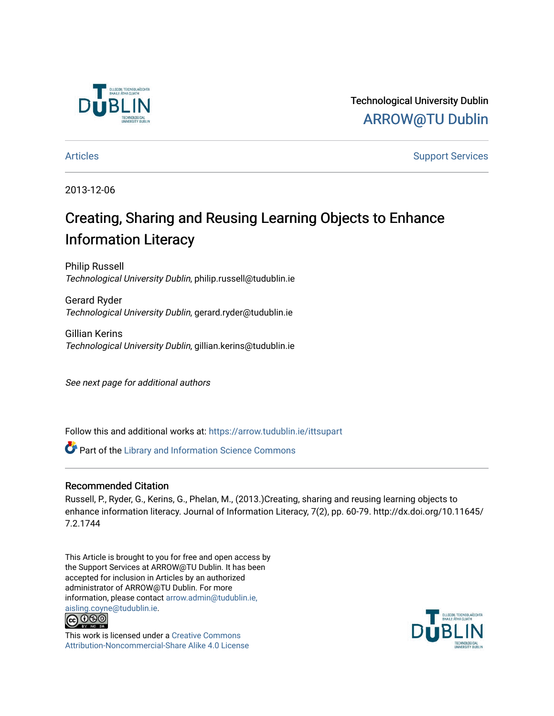

Technological University Dublin [ARROW@TU Dublin](https://arrow.tudublin.ie/) 

[Articles](https://arrow.tudublin.ie/ittsupart) **Support Services** [Support Services](https://arrow.tudublin.ie/ittsup) **Support Services** 

2013-12-06

# Creating, Sharing and Reusing Learning Objects to Enhance Information Literacy

Philip Russell Technological University Dublin, philip.russell@tudublin.ie

Gerard Ryder Technological University Dublin, gerard.ryder@tudublin.ie

Gillian Kerins Technological University Dublin, gillian.kerins@tudublin.ie

See next page for additional authors

Follow this and additional works at: [https://arrow.tudublin.ie/ittsupart](https://arrow.tudublin.ie/ittsupart?utm_source=arrow.tudublin.ie%2Fittsupart%2F8&utm_medium=PDF&utm_campaign=PDFCoverPages) 

Part of the [Library and Information Science Commons](http://network.bepress.com/hgg/discipline/1018?utm_source=arrow.tudublin.ie%2Fittsupart%2F8&utm_medium=PDF&utm_campaign=PDFCoverPages) 

#### Recommended Citation

Russell, P., Ryder, G., Kerins, G., Phelan, M., (2013.)Creating, sharing and reusing learning objects to enhance information literacy. Journal of Information Literacy, 7(2), pp. 60-79. http://dx.doi.org/10.11645/ 7.2.1744

This Article is brought to you for free and open access by the Support Services at ARROW@TU Dublin. It has been accepted for inclusion in Articles by an authorized administrator of ARROW@TU Dublin. For more information, please contact [arrow.admin@tudublin.ie,](mailto:arrow.admin@tudublin.ie,%20aisling.coyne@tudublin.ie)  [aisling.coyne@tudublin.ie.](mailto:arrow.admin@tudublin.ie,%20aisling.coyne@tudublin.ie)<br>@060



This work is licensed under a [Creative Commons](http://creativecommons.org/licenses/by-nc-sa/4.0/) [Attribution-Noncommercial-Share Alike 4.0 License](http://creativecommons.org/licenses/by-nc-sa/4.0/)

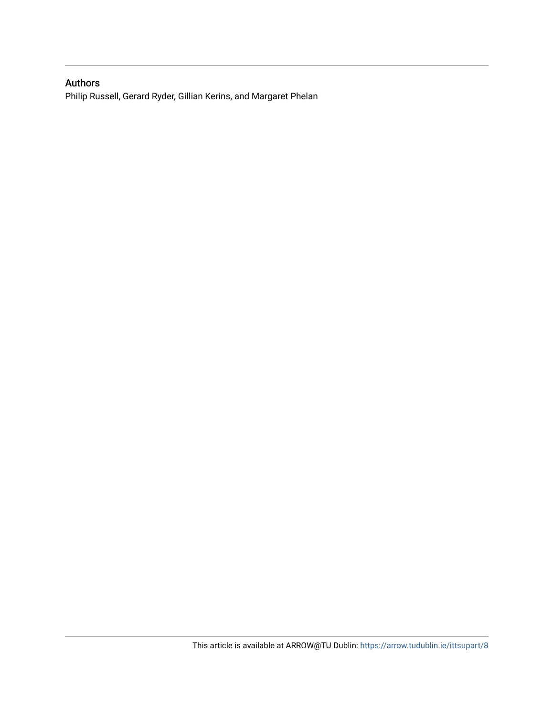#### Authors

Philip Russell, Gerard Ryder, Gillian Kerins, and Margaret Phelan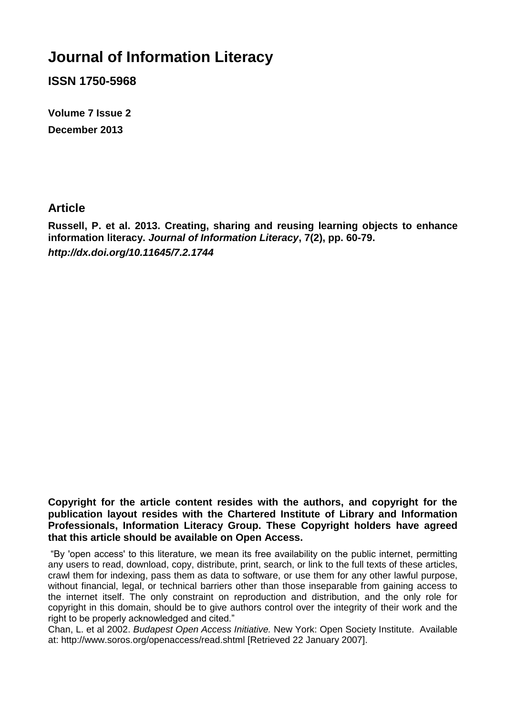# **Journal of Information Literacy**

**ISSN 1750-5968**

**Volume 7 Issue 2 December 2013**

# **Article**

**Russell, P. et al. 2013. Creating, sharing and reusing learning objects to enhance information literacy.** *Journal of Information Literacy***, 7(2), pp. 60-79.** *http://dx.doi.org/10.11645/7.2.1744*

**Copyright for the article content resides with the authors, and copyright for the publication layout resides with the Chartered Institute of Library and Information Professionals, Information Literacy Group. These Copyright holders have agreed that this article should be available on Open Access.**

"By 'open access' to this literature, we mean its free availability on the public internet, permitting any users to read, download, copy, distribute, print, search, or link to the full texts of these articles, crawl them for indexing, pass them as data to software, or use them for any other lawful purpose, without financial, legal, or technical barriers other than those inseparable from gaining access to the internet itself. The only constraint on reproduction and distribution, and the only role for copyright in this domain, should be to give authors control over the integrity of their work and the right to be properly acknowledged and cited."

Chan, L. et al 2002. *Budapest Open Access Initiative.* New York: Open Society Institute. Available at: http://www.soros.org/openaccess/read.shtml [Retrieved 22 January 2007].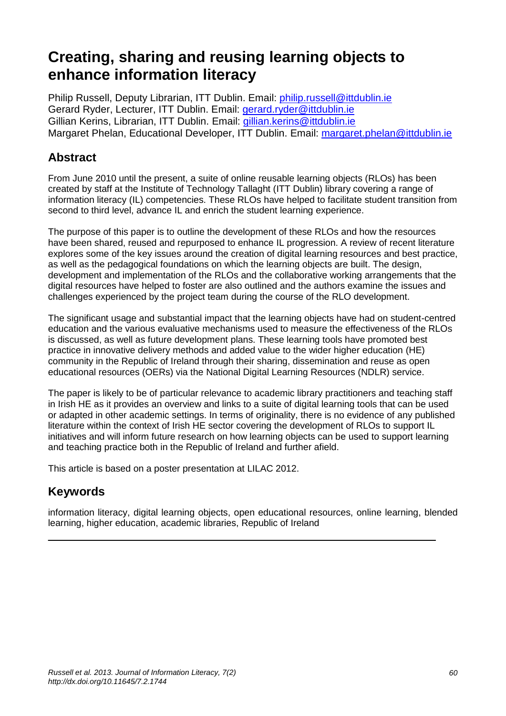# **Creating, sharing and reusing learning objects to enhance information literacy**

Philip Russell, Deputy Librarian, ITT Dublin. Email: [philip.russell@ittdublin.ie](mailto:philip.russell@ittdublin.ie) Gerard Ryder, Lecturer, ITT Dublin. Email: [gerard.ryder@ittdublin.ie](mailto:gerard.ryder@ittdublin.ie) Gillian Kerins, Librarian, ITT Dublin. Email: [gillian.kerins@ittdublin.ie](mailto:gillian.kerins@ittdublin.ie) Margaret Phelan, Educational Developer, ITT Dublin. Email: [margaret.phelan@ittdublin.ie](mailto:margaret.phelan@ittdublin.ie)

# **Abstract**

From June 2010 until the present, a suite of online reusable learning objects (RLOs) has been created by staff at the Institute of Technology Tallaght (ITT Dublin) library covering a range of information literacy (IL) competencies. These RLOs have helped to facilitate student transition from second to third level, advance IL and enrich the student learning experience.

The purpose of this paper is to outline the development of these RLOs and how the resources have been shared, reused and repurposed to enhance IL progression. A review of recent literature explores some of the key issues around the creation of digital learning resources and best practice, as well as the pedagogical foundations on which the learning objects are built. The design, development and implementation of the RLOs and the collaborative working arrangements that the digital resources have helped to foster are also outlined and the authors examine the issues and challenges experienced by the project team during the course of the RLO development.

The significant usage and substantial impact that the learning objects have had on student-centred education and the various evaluative mechanisms used to measure the effectiveness of the RLOs is discussed, as well as future development plans. These learning tools have promoted best practice in innovative delivery methods and added value to the wider higher education (HE) community in the Republic of Ireland through their sharing, dissemination and reuse as open educational resources (OERs) via the National Digital Learning Resources (NDLR) service.

The paper is likely to be of particular relevance to academic library practitioners and teaching staff in Irish HE as it provides an overview and links to a suite of digital learning tools that can be used or adapted in other academic settings. In terms of originality, there is no evidence of any published literature within the context of Irish HE sector covering the development of RLOs to support IL initiatives and will inform future research on how learning objects can be used to support learning and teaching practice both in the Republic of Ireland and further afield.

This article is based on a poster presentation at LILAC 2012.

# **Keywords**

information literacy, digital learning objects, open educational resources, online learning, blended learning, higher education, academic libraries, Republic of Ireland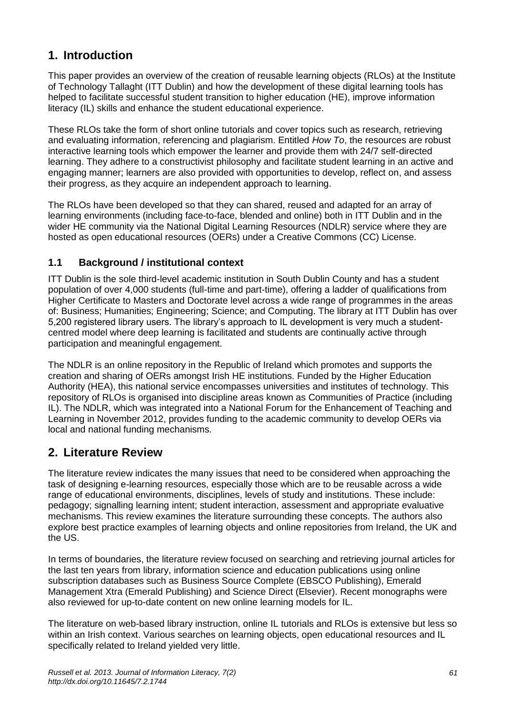# **1. Introduction**

This paper provides an overview of the creation of reusable learning objects (RLOs) at the Institute of Technology Tallaght (ITT Dublin) and how the development of these digital learning tools has helped to facilitate successful student transition to higher education (HE), improve information literacy (IL) skills and enhance the student educational experience.

These RLOs take the form of short online tutorials and cover topics such as research, retrieving and evaluating information, referencing and plagiarism. Entitled *How To*, the resources are robust interactive learning tools which empower the learner and provide them with 24/7 self-directed learning. They adhere to a constructivist philosophy and facilitate student learning in an active and engaging manner; learners are also provided with opportunities to develop, reflect on, and assess their progress, as they acquire an independent approach to learning.

The RLOs have been developed so that they can shared, reused and adapted for an array of learning environments (including face-to-face, blended and online) both in ITT Dublin and in the wider HE community via the National Digital Learning Resources (NDLR) service where they are hosted as open educational resources (OERs) under a Creative Commons (CC) License.

#### **1.1 Background / institutional context**

ITT Dublin is the sole third-level academic institution in South Dublin County and has a student population of over 4,000 students (full-time and part-time), offering a ladder of qualifications from Higher Certificate to Masters and Doctorate level across a wide range of programmes in the areas of: Business; Humanities; Engineering; Science; and Computing. The library at ITT Dublin has over 5,200 registered library users. The library's approach to IL development is very much a studentcentred model where deep learning is facilitated and students are continually active through participation and meaningful engagement.

The NDLR is an online repository in the Republic of Ireland which promotes and supports the creation and sharing of OERs amongst Irish HE institutions. Funded by the Higher Education Authority (HEA), this national service encompasses universities and institutes of technology. This repository of RLOs is organised into discipline areas known as Communities of Practice (including IL). The NDLR, which was integrated into a National Forum for the Enhancement of Teaching and Learning in November 2012, provides funding to the academic community to develop OERs via local and national funding mechanisms.

# **2. Literature Review**

The literature review indicates the many issues that need to be considered when approaching the task of designing e-learning resources, especially those which are to be reusable across a wide range of educational environments, disciplines, levels of study and institutions. These include: pedagogy; signalling learning intent; student interaction, assessment and appropriate evaluative mechanisms. This review examines the literature surrounding these concepts. The authors also explore best practice examples of learning objects and online repositories from Ireland, the UK and the US.

In terms of boundaries, the literature review focused on searching and retrieving journal articles for the last ten years from library, information science and education publications using online subscription databases such as Business Source Complete (EBSCO Publishing), Emerald Management Xtra (Emerald Publishing) and Science Direct (Elsevier). Recent monographs were also reviewed for up-to-date content on new online learning models for IL.

The literature on web-based library instruction, online IL tutorials and RLOs is extensive but less so within an Irish context. Various searches on learning objects, open educational resources and IL specifically related to Ireland yielded very little.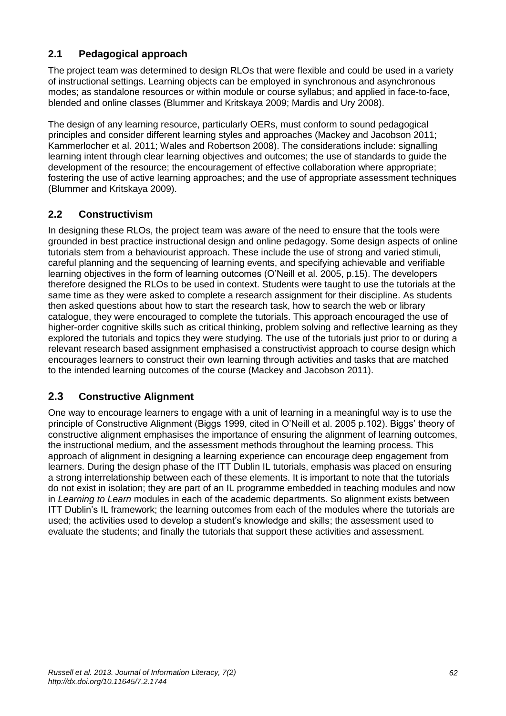## **2.1 Pedagogical approach**

The project team was determined to design RLOs that were flexible and could be used in a variety of instructional settings. Learning objects can be employed in synchronous and asynchronous modes; as standalone resources or within module or course syllabus; and applied in face-to-face, blended and online classes (Blummer and Kritskaya 2009; Mardis and Ury 2008).

The design of any learning resource, particularly OERs, must conform to sound pedagogical principles and consider different learning styles and approaches (Mackey and Jacobson 2011; Kammerlocher et al. 2011; Wales and Robertson 2008). The considerations include: signalling learning intent through clear learning objectives and outcomes; the use of standards to guide the development of the resource; the encouragement of effective collaboration where appropriate; fostering the use of active learning approaches; and the use of appropriate assessment techniques (Blummer and Kritskaya 2009).

#### **2.2 Constructivism**

In designing these RLOs, the project team was aware of the need to ensure that the tools were grounded in best practice instructional design and online pedagogy. Some design aspects of online tutorials stem from a behaviourist approach. These include the use of strong and varied stimuli, careful planning and the sequencing of learning events, and specifying achievable and verifiable learning objectives in the form of learning outcomes (O'Neill et al. 2005, p.15). The developers therefore designed the RLOs to be used in context. Students were taught to use the tutorials at the same time as they were asked to complete a research assignment for their discipline. As students then asked questions about how to start the research task, how to search the web or library catalogue, they were encouraged to complete the tutorials. This approach encouraged the use of higher-order cognitive skills such as critical thinking, problem solving and reflective learning as they explored the tutorials and topics they were studying. The use of the tutorials just prior to or during a relevant research based assignment emphasised a constructivist approach to course design which encourages learners to construct their own learning through activities and tasks that are matched to the intended learning outcomes of the course (Mackey and Jacobson 2011).

#### **2.3 Constructive Alignment**

One way to encourage learners to engage with a unit of learning in a meaningful way is to use the principle of Constructive Alignment (Biggs 1999, cited in O'Neill et al. 2005 p.102). Biggs' theory of constructive alignment emphasises the importance of ensuring the alignment of learning outcomes, the instructional medium, and the assessment methods throughout the learning process. This approach of alignment in designing a learning experience can encourage deep engagement from learners. During the design phase of the ITT Dublin IL tutorials, emphasis was placed on ensuring a strong interrelationship between each of these elements. It is important to note that the tutorials do not exist in isolation; they are part of an IL programme embedded in teaching modules and now in *Learning to Learn* modules in each of the academic departments. So alignment exists between ITT Dublin's IL framework; the learning outcomes from each of the modules where the tutorials are used; the activities used to develop a student's knowledge and skills; the assessment used to evaluate the students; and finally the tutorials that support these activities and assessment.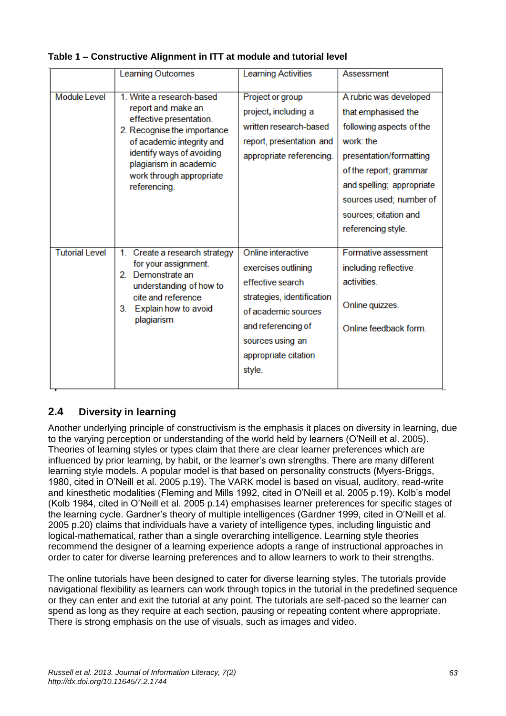|                       | <b>Learning Outcomes</b>                                                                                                                                                                                                                  | <b>Learning Activities</b>                                                                                                                                                                     | Assessment                                                                                                                                                                                                                                         |
|-----------------------|-------------------------------------------------------------------------------------------------------------------------------------------------------------------------------------------------------------------------------------------|------------------------------------------------------------------------------------------------------------------------------------------------------------------------------------------------|----------------------------------------------------------------------------------------------------------------------------------------------------------------------------------------------------------------------------------------------------|
| <b>Module Level</b>   | 1. Write a research-based<br>report and make an<br>effective presentation.<br>2. Recognise the importance<br>of academic integrity and<br>identify ways of avoiding<br>plagiarism in academic<br>work through appropriate<br>referencing. | Project or group<br>project, including a<br>written research-based<br>report, presentation and<br>appropriate referencing.                                                                     | A rubric was developed<br>that emphasised the<br>following aspects of the<br>work: the<br>presentation/formatting<br>of the report; grammar<br>and spelling; appropriate<br>sources used; number of<br>sources; citation and<br>referencing style. |
| <b>Tutorial Level</b> | Create a research strategy<br>1.<br>for your assignment.<br>2. Demonstrate an<br>understanding of how to<br>cite and reference<br>Explain how to avoid<br>3.<br>plagiarism                                                                | Online interactive<br>exercises outlining<br>effective search<br>strategies, identification<br>of academic sources<br>and referencing of<br>sources using an<br>appropriate citation<br>style. | Formative assessment<br>including reflective<br>activities.<br>Online quizzes.<br>Online feedback form.                                                                                                                                            |

#### **Table 1 – Constructive Alignment in ITT at module and tutorial level**

## **2.4 Diversity in learning**

Another underlying principle of constructivism is the emphasis it places on diversity in learning, due to the varying perception or understanding of the world held by learners (O'Neill et al. 2005). Theories of learning styles or types claim that there are clear learner preferences which are influenced by prior learning, by habit, or the learner's own strengths. There are many different learning style models. A popular model is that based on personality constructs (Myers-Briggs, 1980, cited in O'Neill et al. 2005 p.19). The VARK model is based on visual, auditory, read-write and kinesthetic modalities (Fleming and Mills 1992, cited in O'Neill et al. 2005 p.19). Kolb's model (Kolb 1984, cited in O'Neill et al. 2005 p.14) emphasises learner preferences for specific stages of the learning cycle. Gardner's theory of multiple intelligences (Gardner 1999, cited in O'Neill et al. 2005 p.20) claims that individuals have a variety of intelligence types, including linguistic and logical-mathematical, rather than a single overarching intelligence. Learning style theories recommend the designer of a learning experience adopts a range of instructional approaches in order to cater for diverse learning preferences and to allow learners to work to their strengths.

The online tutorials have been designed to cater for diverse learning styles. The tutorials provide navigational flexibility as learners can work through topics in the tutorial in the predefined sequence or they can enter and exit the tutorial at any point. The tutorials are self-paced so the learner can spend as long as they require at each section, pausing or repeating content where appropriate. There is strong emphasis on the use of visuals, such as images and video.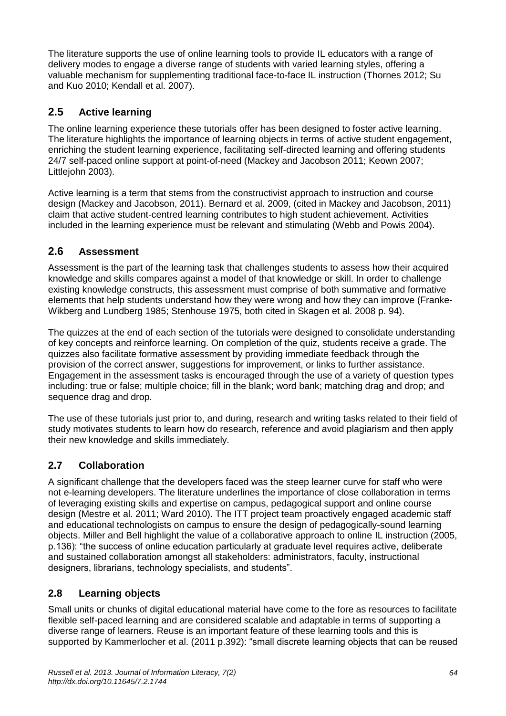The literature supports the use of online learning tools to provide IL educators with a range of delivery modes to engage a diverse range of students with varied learning styles, offering a valuable mechanism for supplementing traditional face-to-face IL instruction (Thornes 2012; Su and Kuo 2010; Kendall et al. 2007).

# **2.5 Active learning**

The online learning experience these tutorials offer has been designed to foster active learning. The literature highlights the importance of learning objects in terms of active student engagement, enriching the student learning experience, facilitating self-directed learning and offering students 24/7 self-paced online support at point-of-need (Mackey and Jacobson 2011; Keown 2007; Littlejohn 2003).

Active learning is a term that stems from the constructivist approach to instruction and course design (Mackey and Jacobson, 2011). Bernard et al. 2009, (cited in Mackey and Jacobson, 2011) claim that active student-centred learning contributes to high student achievement. Activities included in the learning experience must be relevant and stimulating (Webb and Powis 2004).

# **2.6 Assessment**

Assessment is the part of the learning task that challenges students to assess how their acquired knowledge and skills compares against a model of that knowledge or skill. In order to challenge existing knowledge constructs, this assessment must comprise of both summative and formative elements that help students understand how they were wrong and how they can improve (Franke-Wikberg and Lundberg 1985; Stenhouse 1975, both cited in Skagen et al. 2008 p. 94).

The quizzes at the end of each section of the tutorials were designed to consolidate understanding of key concepts and reinforce learning. On completion of the quiz, students receive a grade. The quizzes also facilitate formative assessment by providing immediate feedback through the provision of the correct answer, suggestions for improvement, or links to further assistance. Engagement in the assessment tasks is encouraged through the use of a variety of question types including: true or false; multiple choice; fill in the blank; word bank; matching drag and drop; and sequence drag and drop.

The use of these tutorials just prior to, and during, research and writing tasks related to their field of study motivates students to learn how do research, reference and avoid plagiarism and then apply their new knowledge and skills immediately.

## **2.7 Collaboration**

A significant challenge that the developers faced was the steep learner curve for staff who were not e-learning developers. The literature underlines the importance of close collaboration in terms of leveraging existing skills and expertise on campus, pedagogical support and online course design (Mestre et al. 2011; Ward 2010). The ITT project team proactively engaged academic staff and educational technologists on campus to ensure the design of pedagogically-sound learning objects. Miller and Bell highlight the value of a collaborative approach to online IL instruction (2005, p.136): "the success of online education particularly at graduate level requires active, deliberate and sustained collaboration amongst all stakeholders: administrators, faculty, instructional designers, librarians, technology specialists, and students".

# **2.8 Learning objects**

Small units or chunks of digital educational material have come to the fore as resources to facilitate flexible self-paced learning and are considered scalable and adaptable in terms of supporting a diverse range of learners. Reuse is an important feature of these learning tools and this is supported by Kammerlocher et al. (2011 p.392): "small discrete learning objects that can be reused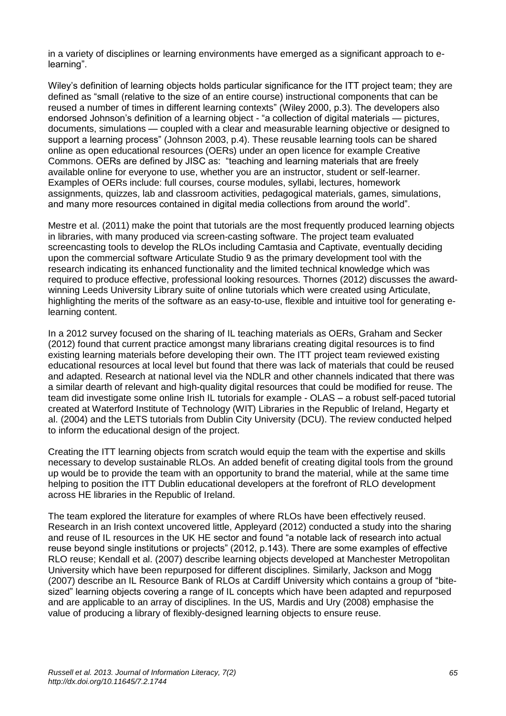in a variety of disciplines or learning environments have emerged as a significant approach to elearning".

Wiley's definition of learning objects holds particular significance for the ITT project team; they are defined as "small (relative to the size of an entire course) instructional components that can be reused a number of times in different learning contexts" (Wiley 2000, p.3). The developers also endorsed Johnson's definition of a learning object - "a collection of digital materials — pictures, documents, simulations — coupled with a clear and measurable learning objective or designed to support a learning process" (Johnson 2003, p.4). These reusable learning tools can be shared online as open educational resources (OERs) under an open licence for example Creative Commons. OERs are defined by JISC as: "teaching and learning materials that are freely available online for everyone to use, whether you are an instructor, student or self-learner. Examples of OERs include: full courses, course modules, syllabi, lectures, homework assignments, quizzes, lab and classroom activities, pedagogical materials, games, simulations, and many more resources contained in digital media collections from around the world".

Mestre et al. (2011) make the point that tutorials are the most frequently produced learning objects in libraries, with many produced via screen-casting software. The project team evaluated screencasting tools to develop the RLOs including Camtasia and Captivate, eventually deciding upon the commercial software Articulate Studio 9 as the primary development tool with the research indicating its enhanced functionality and the limited technical knowledge which was required to produce effective, professional looking resources. Thornes (2012) discusses the awardwinning Leeds University Library suite of online tutorials which were created using Articulate, highlighting the merits of the software as an easy-to-use, flexible and intuitive tool for generating elearning content.

In a 2012 survey focused on the sharing of IL teaching materials as OERs, Graham and Secker (2012) found that current practice amongst many librarians creating digital resources is to find existing learning materials before developing their own. The ITT project team reviewed existing educational resources at local level but found that there was lack of materials that could be reused and adapted. Research at national level via the NDLR and other channels indicated that there was a similar dearth of relevant and high-quality digital resources that could be modified for reuse. The team did investigate some online Irish IL tutorials for example - OLAS – a robust self-paced tutorial created at Waterford Institute of Technology (WIT) Libraries in the Republic of Ireland, Hegarty et al. (2004) and the LETS tutorials from Dublin City University (DCU). The review conducted helped to inform the educational design of the project.

Creating the ITT learning objects from scratch would equip the team with the expertise and skills necessary to develop sustainable RLOs. An added benefit of creating digital tools from the ground up would be to provide the team with an opportunity to brand the material, while at the same time helping to position the ITT Dublin educational developers at the forefront of RLO development across HE libraries in the Republic of Ireland.

The team explored the literature for examples of where RLOs have been effectively reused. Research in an Irish context uncovered little, Appleyard (2012) conducted a study into the sharing and reuse of IL resources in the UK HE sector and found "a notable lack of research into actual reuse beyond single institutions or projects" (2012, p.143). There are some examples of effective RLO reuse; Kendall et al. (2007) describe learning objects developed at Manchester Metropolitan University which have been repurposed for different disciplines. Similarly, Jackson and Mogg (2007) describe an IL Resource Bank of RLOs at Cardiff University which contains a group of "bitesized" learning objects covering a range of IL concepts which have been adapted and repurposed and are applicable to an array of disciplines. In the US, Mardis and Ury (2008) emphasise the value of producing a library of flexibly-designed learning objects to ensure reuse.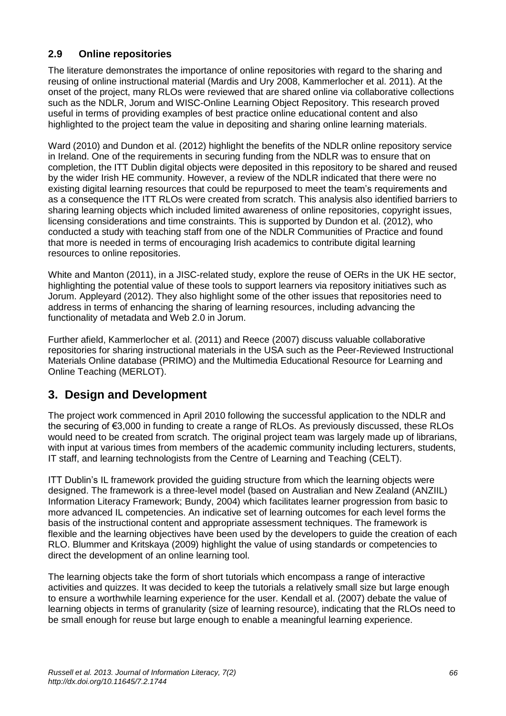#### **2.9 Online repositories**

The literature demonstrates the importance of online repositories with regard to the sharing and reusing of online instructional material (Mardis and Ury 2008, Kammerlocher et al. 2011). At the onset of the project, many RLOs were reviewed that are shared online via collaborative collections such as the NDLR, Jorum and WISC-Online Learning Object Repository. This research proved useful in terms of providing examples of best practice online educational content and also highlighted to the project team the value in depositing and sharing online learning materials.

Ward (2010) and Dundon et al. (2012) highlight the benefits of the NDLR online repository service in Ireland. One of the requirements in securing funding from the NDLR was to ensure that on completion, the ITT Dublin digital objects were deposited in this repository to be shared and reused by the wider Irish HE community. However, a review of the NDLR indicated that there were no existing digital learning resources that could be repurposed to meet the team's requirements and as a consequence the ITT RLOs were created from scratch. This analysis also identified barriers to sharing learning objects which included limited awareness of online repositories, copyright issues, licensing considerations and time constraints. This is supported by Dundon et al. (2012), who conducted a study with teaching staff from one of the NDLR Communities of Practice and found that more is needed in terms of encouraging Irish academics to contribute digital learning resources to online repositories.

White and Manton (2011), in a JISC-related study, explore the reuse of OERs in the UK HE sector, highlighting the potential value of these tools to support learners via repository initiatives such as Jorum. Appleyard (2012). They also highlight some of the other issues that repositories need to address in terms of enhancing the sharing of learning resources, including advancing the functionality of metadata and Web 2.0 in Jorum.

Further afield, Kammerlocher et al. (2011) and Reece (2007) discuss valuable collaborative repositories for sharing instructional materials in the USA such as the Peer-Reviewed Instructional Materials Online database [\(PRIMO\)](http://www.ala.org/cfapps/primo/public/search.cfm) and the Multimedia Educational Resource for Learning and Online Teaching (MERLOT).

# **3. Design and Development**

The project work commenced in April 2010 following the successful application to the NDLR and the securing of €3,000 in funding to create a range of RLOs. As previously discussed, these RLOs would need to be created from scratch. The original project team was largely made up of librarians, with input at various times from members of the academic community including lecturers, students, IT staff, and learning technologists from the Centre of Learning and Teaching (CELT).

ITT Dublin's IL framework provided the guiding structure from which the learning objects were designed. The framework is a three-level model (based on Australian and New Zealand (ANZIIL) Information Literacy Framework; Bundy, 2004) which facilitates learner progression from basic to more advanced IL competencies. An indicative set of learning outcomes for each level forms the basis of the instructional content and appropriate assessment techniques. The framework is flexible and the learning objectives have been used by the developers to guide the creation of each RLO. Blummer and Kritskaya (2009) highlight the value of using standards or competencies to direct the development of an online learning tool.

The learning objects take the form of short tutorials which encompass a range of interactive activities and quizzes. It was decided to keep the tutorials a relatively small size but large enough to ensure a worthwhile learning experience for the user. Kendall et al. (2007) debate the value of learning objects in terms of granularity (size of learning resource), indicating that the RLOs need to be small enough for reuse but large enough to enable a meaningful learning experience.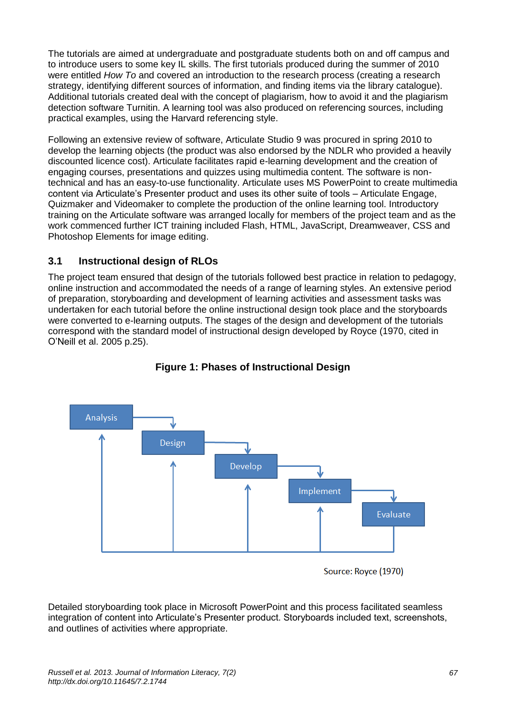The tutorials are aimed at undergraduate and postgraduate students both on and off campus and to introduce users to some key IL skills. The first tutorials produced during the summer of 2010 were entitled *How To* and covered an introduction to the research process (creating a research strategy, identifying different sources of information, and finding items via the library catalogue). Additional tutorials created deal with the concept of plagiarism, how to avoid it and the plagiarism detection software Turnitin. A learning tool was also produced on referencing sources, including practical examples, using the Harvard referencing style.

Following an extensive review of software, Articulate Studio 9 was procured in spring 2010 to develop the learning objects (the product was also endorsed by the NDLR who provided a heavily discounted licence cost). Articulate facilitates rapid e-learning development and the creation of engaging courses, presentations and quizzes using multimedia content. The software is nontechnical and has an easy-to-use functionality. Articulate uses MS PowerPoint to create multimedia content via Articulate's Presenter product and uses its other suite of tools – Articulate Engage, Quizmaker and Videomaker to complete the production of the online learning tool. Introductory training on the Articulate software was arranged locally for members of the project team and as the work commenced further ICT training included Flash, HTML, JavaScript, Dreamweaver, CSS and Photoshop Elements for image editing.

#### **3.1 Instructional design of RLOs**

The project team ensured that design of the tutorials followed best practice in relation to pedagogy, online instruction and accommodated the needs of a range of learning styles. An extensive period of preparation, storyboarding and development of learning activities and assessment tasks was undertaken for each tutorial before the online instructional design took place and the storyboards were converted to e-learning outputs. The stages of the design and development of the tutorials correspond with the standard model of instructional design developed by Royce (1970, cited in O'Neill et al. 2005 p.25).



**Figure 1: Phases of Instructional Design**

Source: Royce (1970)

Detailed storyboarding took place in Microsoft PowerPoint and this process facilitated seamless integration of content into Articulate's Presenter product. Storyboards included text, screenshots, and outlines of activities where appropriate.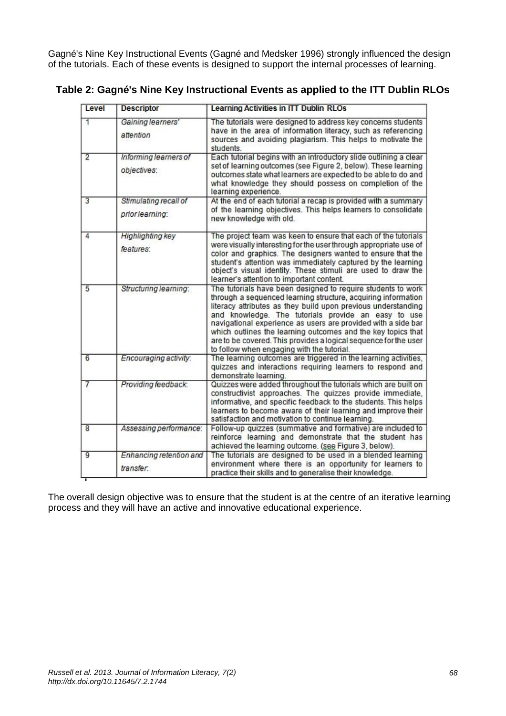Gagné's Nine Key Instructional Events (Gagné and Medsker 1996) strongly influenced the design of the tutorials. Each of these events is designed to support the internal processes of learning.

| Level | <b>Descriptor</b>                        | Learning Activities in ITT Dublin RLOs                                                                                                                                                                                                                                                                                                                                                                                                                                                                   |
|-------|------------------------------------------|----------------------------------------------------------------------------------------------------------------------------------------------------------------------------------------------------------------------------------------------------------------------------------------------------------------------------------------------------------------------------------------------------------------------------------------------------------------------------------------------------------|
| 1     | Gaining learners'<br>attention           | The tutorials were designed to address key concerns students<br>have in the area of information literacy, such as referencing<br>sources and avoiding plagiarism. This helps to motivate the<br>students                                                                                                                                                                                                                                                                                                 |
| 2     | Informing learners of<br>objectives:     | Each tutorial begins with an introductory slide outlining a clear<br>set of learning outcomes (see Figure 2, below). These learning<br>outcomes state what learners are expected to be able to do and<br>what knowledge they should possess on completion of the<br>learning experience.                                                                                                                                                                                                                 |
| 3     | Stimulating recall of<br>prior learning: | At the end of each tutorial a recap is provided with a summary<br>of the learning objectives. This helps learners to consolidate<br>new knowledge with old.                                                                                                                                                                                                                                                                                                                                              |
| 4     | <b>Highlighting key</b><br>features:     | The project team was keen to ensure that each of the tutorials<br>were visually interesting for the user through appropriate use of<br>color and graphics. The designers wanted to ensure that the<br>student's attention was immediately captured by the learning<br>object's visual identity. These stimuli are used to draw the<br>learner's attention to important content.                                                                                                                          |
| 5     | Structuring learning:                    | The tutorials have been designed to require students to work<br>through a sequenced learning structure, acquiring information<br>literacy attributes as they build upon previous understanding<br>and knowledge. The tutorials provide an easy to use<br>navigational experience as users are provided with a side bar<br>which outlines the learning outcomes and the key topics that<br>are to be covered. This provides a logical sequence for the user<br>to follow when engaging with the tutorial. |
| 6     | Encouraging activity:                    | The learning outcomes are triggered in the learning activities,<br>quizzes and interactions requiring learners to respond and<br>demonstrate learning.                                                                                                                                                                                                                                                                                                                                                   |
|       | Providing feedback:                      | Quizzes were added throughout the tutorials which are built on<br>constructivist approaches. The quizzes provide immediate,<br>informative, and specific feedback to the students. This helps<br>learners to become aware of their learning and improve their<br>satisfaction and motivation to continue learning.                                                                                                                                                                                       |
| 8     | Assessing performance:                   | Follow-up quizzes (summative and formative) are included to<br>reinforce learning and demonstrate that the student has<br>achieved the learning outcome. (see Figure 3, below).                                                                                                                                                                                                                                                                                                                          |
| 9     | Enhancing retention and<br>transfer.     | The tutorials are designed to be used in a blended learning<br>environment where there is an opportunity for learners to<br>practice their skills and to generalise their knowledge.                                                                                                                                                                                                                                                                                                                     |

#### **Table 2: Gagné's Nine Key Instructional Events as applied to the ITT Dublin RLOs**

The overall design objective was to ensure that the student is at the centre of an iterative learning process and they will have an active and innovative educational experience.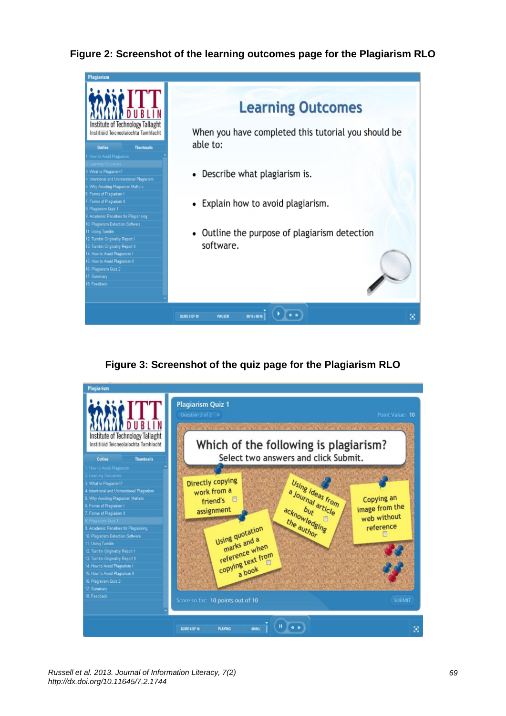#### **Figure 2: Screenshot of the learning outcomes page for the Plagiarism RLO**



## **Figure 3: Screenshot of the quiz page for the Plagiarism RLO**

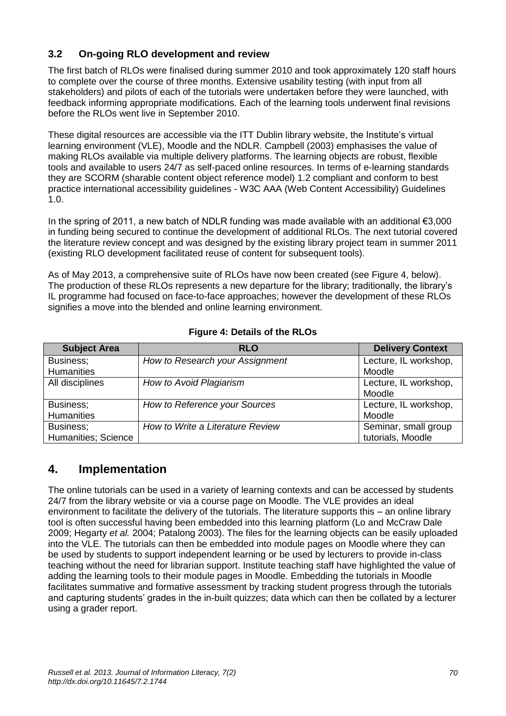#### **3.2 On-going RLO development and review**

The first batch of RLOs were finalised during summer 2010 and took approximately 120 staff hours to complete over the course of three months. Extensive usability testing (with input from all stakeholders) and pilots of each of the tutorials were undertaken before they were launched, with feedback informing appropriate modifications. Each of the learning tools underwent final revisions before the RLOs went live in September 2010.

These digital resources are accessible via the ITT Dublin library website, the Institute's virtual learning environment (VLE), Moodle and the NDLR. Campbell (2003) emphasises the value of making RLOs available via multiple delivery platforms. The learning objects are robust, flexible tools and available to users 24/7 as self-paced online resources. In terms of e-learning standards they are SCORM (sharable content object reference model) 1.2 compliant and conform to best practice international accessibility guidelines - W3C AAA (Web Content Accessibility) Guidelines 1.0.

In the spring of 2011, a new batch of NDLR funding was made available with an additional  $\epsilon$ 3,000 in funding being secured to continue the development of additional RLOs. The next tutorial covered the literature review concept and was designed by the existing library project team in summer 2011 (existing RLO development facilitated reuse of content for subsequent tools).

As of May 2013, a comprehensive suite of RLOs have now been created (see Figure 4, below). The production of these RLOs represents a new departure for the library; traditionally, the library's IL programme had focused on face-to-face approaches; however the development of these RLOs signifies a move into the blended and online learning environment.

| <b>Subject Area</b> | <b>RLO</b>                       | <b>Delivery Context</b> |
|---------------------|----------------------------------|-------------------------|
| Business;           | How to Research your Assignment  | Lecture, IL workshop,   |
| <b>Humanities</b>   |                                  | Moodle                  |
| All disciplines     | How to Avoid Plagiarism          | Lecture, IL workshop,   |
|                     |                                  | Moodle                  |
| Business;           | How to Reference your Sources    | Lecture, IL workshop,   |
| <b>Humanities</b>   |                                  | Moodle                  |
| Business;           | How to Write a Literature Review | Seminar, small group    |
| Humanities; Science |                                  | tutorials, Moodle       |

#### **Figure 4: Details of the RLOs**

# **4. Implementation**

The online tutorials can be used in a variety of learning contexts and can be accessed by students 24/7 from the library website or via a course page on Moodle. The VLE provides an ideal environment to facilitate the delivery of the tutorials. The literature supports this – an online library tool is often successful having been embedded into this learning platform (Lo and McCraw Dale 2009; Hegarty *et al.* 2004; Patalong 2003). The files for the learning objects can be easily uploaded into the VLE. The tutorials can then be embedded into module pages on Moodle where they can be used by students to support independent learning or be used by lecturers to provide in-class teaching without the need for librarian support. Institute teaching staff have highlighted the value of adding the learning tools to their module pages in Moodle. Embedding the tutorials in Moodle facilitates summative and formative assessment by tracking student progress through the tutorials and capturing students' grades in the in-built quizzes; data which can then be collated by a lecturer using a grader report.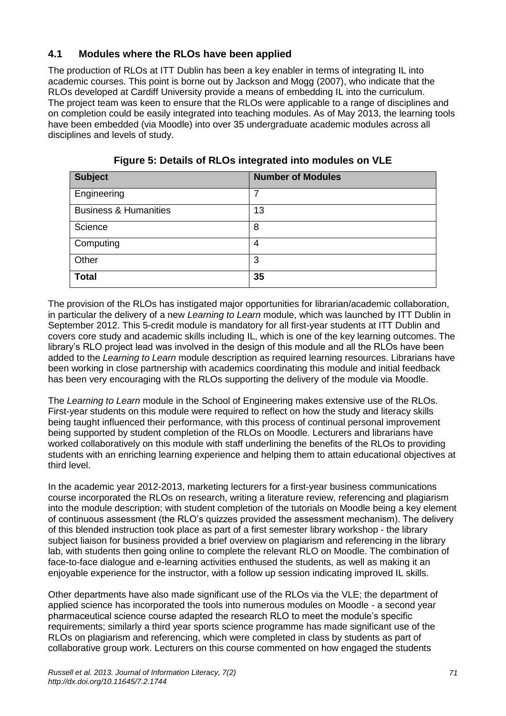#### **4.1 Modules where the RLOs have been applied**

The production of RLOs at ITT Dublin has been a key enabler in terms of integrating IL into academic courses. This point is borne out by Jackson and Mogg (2007), who indicate that the RLOs developed at Cardiff University provide a means of embedding IL into the curriculum. The project team was keen to ensure that the RLOs were applicable to a range of disciplines and on completion could be easily integrated into teaching modules. As of May 2013, the learning tools have been embedded (via Moodle) into over 35 undergraduate academic modules across all disciplines and levels of study.

| <b>Subject</b>                   | <b>Number of Modules</b> |
|----------------------------------|--------------------------|
| Engineering                      | 7                        |
| <b>Business &amp; Humanities</b> | 13                       |
| Science                          | 8                        |
| Computing                        | 4                        |
| Other                            | 3                        |
| <b>Total</b>                     | 35                       |

**Figure 5: Details of RLOs integrated into modules on VLE**

The provision of the RLOs has instigated major opportunities for librarian/academic collaboration, in particular the delivery of a new *Learning to Learn* module, which was launched by ITT Dublin in September 2012. This 5-credit module is mandatory for all first-year students at ITT Dublin and covers core study and academic skills including IL, which is one of the key learning outcomes. The library's RLO project lead was involved in the design of this module and all the RLOs have been added to the *Learning to Learn* module description as required learning resources. Librarians have been working in close partnership with academics coordinating this module and initial feedback has been very encouraging with the RLOs supporting the delivery of the module via Moodle.

The *Learning to Learn* module in the School of Engineering makes extensive use of the RLOs. First-year students on this module were required to reflect on how the study and literacy skills being taught influenced their performance, with this process of continual personal improvement being supported by student completion of the RLOs on Moodle. Lecturers and librarians have worked collaboratively on this module with staff underlining the benefits of the RLOs to providing students with an enriching learning experience and helping them to attain educational objectives at third level.

In the academic year 2012-2013, marketing lecturers for a first-year business communications course incorporated the RLOs on research, writing a literature review, referencing and plagiarism into the module description; with student completion of the tutorials on Moodle being a key element of continuous assessment (the RLO's quizzes provided the assessment mechanism). The delivery of this blended instruction took place as part of a first semester library workshop - the library subject liaison for business provided a brief overview on plagiarism and referencing in the library lab, with students then going online to complete the relevant RLO on Moodle. The combination of face-to-face dialogue and e-learning activities enthused the students, as well as making it an enjoyable experience for the instructor, with a follow up session indicating improved IL skills.

Other departments have also made significant use of the RLOs via the VLE; the department of applied science has incorporated the tools into numerous modules on Moodle - a second year pharmaceutical science course adapted the research RLO to meet the module's specific requirements; similarly a third year sports science programme has made significant use of the RLOs on plagiarism and referencing, which were completed in class by students as part of collaborative group work. Lecturers on this course commented on how engaged the students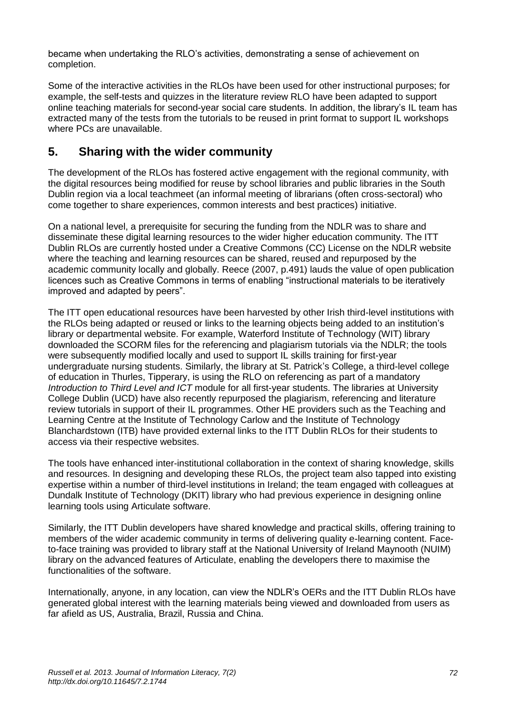became when undertaking the RLO's activities, demonstrating a sense of achievement on completion.

Some of the interactive activities in the RLOs have been used for other instructional purposes; for example, the self-tests and quizzes in the literature review RLO have been adapted to support online teaching materials for second-year social care students. In addition, the library's IL team has extracted many of the tests from the tutorials to be reused in print format to support IL workshops where PCs are unavailable.

# **5. Sharing with the wider community**

The development of the RLOs has fostered active engagement with the regional community, with the digital resources being modified for reuse by school libraries and public libraries in the South Dublin region via a local teachmeet (an informal meeting of librarians (often cross-sectoral) who come together to share experiences, common interests and best practices) initiative.

On a national level, a prerequisite for securing the funding from the NDLR was to share and disseminate these digital learning resources to the wider higher education community. The ITT Dublin RLOs are currently hosted under a Creative Commons (CC) License on the NDLR website where the teaching and learning resources can be shared, reused and repurposed by the academic community locally and globally. Reece (2007, p.491) lauds the value of open publication licences such as Creative Commons in terms of enabling "instructional materials to be iteratively improved and adapted by peers".

The ITT open educational resources have been harvested by other Irish third-level institutions with the RLOs being adapted or reused or links to the learning objects being added to an institution's library or departmental website. For example, Waterford Institute of Technology (WIT) library downloaded the SCORM files for the referencing and plagiarism tutorials via the NDLR; the tools were subsequently modified locally and used to support IL skills training for first-year undergraduate nursing students. Similarly, the library at St. Patrick's College, a third-level college of education in Thurles, Tipperary, is using the RLO on referencing as part of a mandatory *Introduction to Third Level and ICT* module for all first-year students. The libraries at University College Dublin (UCD) have also recently repurposed the plagiarism, referencing and literature review tutorials in support of their IL programmes. Other HE providers such as the Teaching and Learning Centre at the Institute of Technology Carlow and the Institute of Technology Blanchardstown (ITB) have provided external links to the ITT Dublin RLOs for their students to access via their respective websites.

The tools have enhanced inter-institutional collaboration in the context of sharing knowledge, skills and resources. In designing and developing these RLOs, the project team also tapped into existing expertise within a number of third-level institutions in Ireland; the team engaged with colleagues at Dundalk Institute of Technology (DKIT) library who had previous experience in designing online learning tools using Articulate software.

Similarly, the ITT Dublin developers have shared knowledge and practical skills, offering training to members of the wider academic community in terms of delivering quality e-learning content. Faceto-face training was provided to library staff at the National University of Ireland Maynooth (NUIM) library on the advanced features of Articulate, enabling the developers there to maximise the functionalities of the software.

Internationally, anyone, in any location, can view the NDLR's OERs and the ITT Dublin RLOs have generated global interest with the learning materials being viewed and downloaded from users as far afield as US, Australia, Brazil, Russia and China.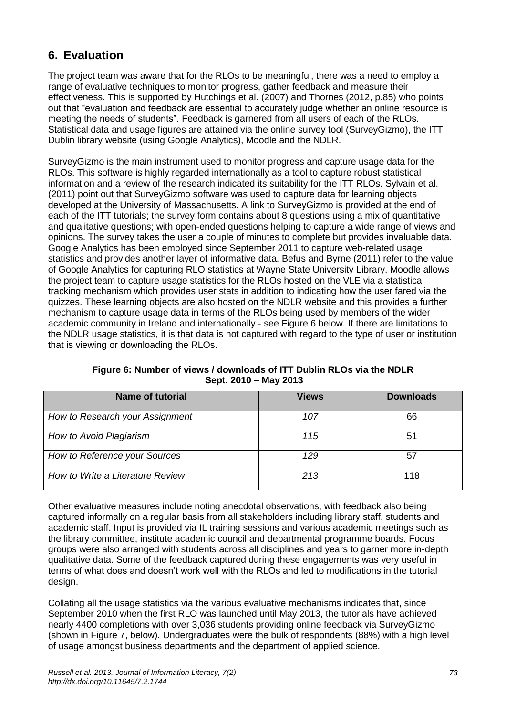# **6. Evaluation**

The project team was aware that for the RLOs to be meaningful, there was a need to employ a range of evaluative techniques to monitor progress, gather feedback and measure their effectiveness. This is supported by Hutchings et al. (2007) and Thornes (2012, p.85) who points out that "evaluation and feedback are essential to accurately judge whether an online resource is meeting the needs of students". Feedback is garnered from all users of each of the RLOs. Statistical data and usage figures are attained via the online survey tool (SurveyGizmo), the ITT Dublin library website (using Google Analytics), Moodle and the NDLR.

SurveyGizmo is the main instrument used to monitor progress and capture usage data for the RLOs. This software is highly regarded internationally as a tool to capture robust statistical information and a review of the research indicated its suitability for the ITT RLOs. Sylvain et al. (2011) point out that SurveyGizmo software was used to capture data for learning objects developed at the University of Massachusetts. A link to SurveyGizmo is provided at the end of each of the ITT tutorials; the survey form contains about 8 questions using a mix of quantitative and qualitative questions; with open-ended questions helping to capture a wide range of views and opinions. The survey takes the user a couple of minutes to complete but provides invaluable data. Google Analytics has been employed since September 2011 to capture web-related usage statistics and provides another layer of informative data. Befus and Byrne (2011) refer to the value of Google Analytics for capturing RLO statistics at Wayne State University Library. Moodle allows the project team to capture usage statistics for the RLOs hosted on the VLE via a statistical tracking mechanism which provides user stats in addition to indicating how the user fared via the quizzes. These learning objects are also hosted on the NDLR website and this provides a further mechanism to capture usage data in terms of the RLOs being used by members of the wider academic community in Ireland and internationally - see Figure 6 below. If there are limitations to the NDLR usage statistics, it is that data is not captured with regard to the type of user or institution that is viewing or downloading the RLOs.

| <b>Name of tutorial</b>          | <b>Views</b> | <b>Downloads</b> |
|----------------------------------|--------------|------------------|
| How to Research your Assignment  | 107          | 66               |
| How to Avoid Plagiarism          | 115          | 51               |
| How to Reference your Sources    | 129          | 57               |
| How to Write a Literature Review | 213          | 118              |

**Figure 6: Number of views / downloads of ITT Dublin RLOs via the NDLR Sept. 2010 – May 2013**

Other evaluative measures include noting anecdotal observations, with feedback also being captured informally on a regular basis from all stakeholders including library staff, students and academic staff. Input is provided via IL training sessions and various academic meetings such as the library committee, institute academic council and departmental programme boards. Focus groups were also arranged with students across all disciplines and years to garner more in-depth qualitative data. Some of the feedback captured during these engagements was very useful in terms of what does and doesn't work well with the RLOs and led to modifications in the tutorial design.

Collating all the usage statistics via the various evaluative mechanisms indicates that, since September 2010 when the first RLO was launched until May 2013, the tutorials have achieved nearly 4400 completions with over 3,036 students providing online feedback via SurveyGizmo (shown in Figure 7, below). Undergraduates were the bulk of respondents (88%) with a high level of usage amongst business departments and the department of applied science.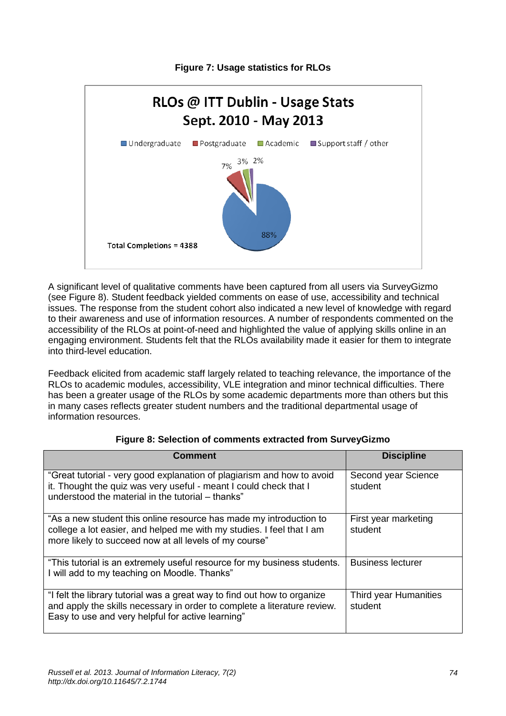

**Figure 7: Usage statistics for RLOs**

A significant level of qualitative comments have been captured from all users via SurveyGizmo (see Figure 8). Student feedback yielded comments on ease of use, accessibility and technical issues. The response from the student cohort also indicated a new level of knowledge with regard to their awareness and use of information resources. A number of respondents commented on the accessibility of the RLOs at point-of-need and highlighted the value of applying skills online in an engaging environment. Students felt that the RLOs availability made it easier for them to integrate into third-level education.

Feedback elicited from academic staff largely related to teaching relevance, the importance of the RLOs to academic modules, accessibility, VLE integration and minor technical difficulties. There has been a greater usage of the RLOs by some academic departments more than others but this in many cases reflects greater student numbers and the traditional departmental usage of information resources.

| <b>Comment</b>                                                                                                                                                                                            | <b>Discipline</b>                |
|-----------------------------------------------------------------------------------------------------------------------------------------------------------------------------------------------------------|----------------------------------|
| "Great tutorial - very good explanation of plagiarism and how to avoid<br>it. Thought the quiz was very useful - meant I could check that I<br>understood the material in the tutorial - thanks"          | Second year Science<br>student   |
| "As a new student this online resource has made my introduction to<br>college a lot easier, and helped me with my studies. I feel that I am<br>more likely to succeed now at all levels of my course"     | First year marketing<br>student  |
| "This tutorial is an extremely useful resource for my business students.<br>I will add to my teaching on Moodle. Thanks"                                                                                  | <b>Business lecturer</b>         |
| "I felt the library tutorial was a great way to find out how to organize<br>and apply the skills necessary in order to complete a literature review.<br>Easy to use and very helpful for active learning" | Third year Humanities<br>student |

#### **Figure 8: Selection of comments extracted from SurveyGizmo**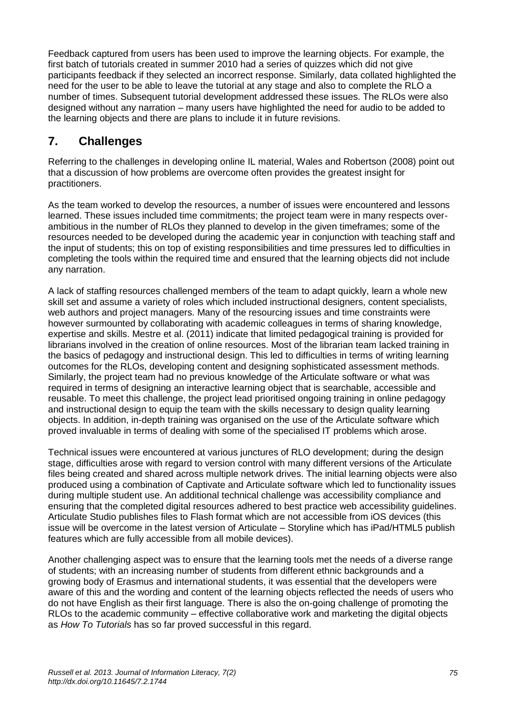Feedback captured from users has been used to improve the learning objects. For example, the first batch of tutorials created in summer 2010 had a series of quizzes which did not give participants feedback if they selected an incorrect response. Similarly, data collated highlighted the need for the user to be able to leave the tutorial at any stage and also to complete the RLO a number of times. Subsequent tutorial development addressed these issues. The RLOs were also designed without any narration – many users have highlighted the need for audio to be added to the learning objects and there are plans to include it in future revisions.

# **7. Challenges**

Referring to the challenges in developing online IL material, Wales and Robertson (2008) point out that a discussion of how problems are overcome often provides the greatest insight for practitioners.

As the team worked to develop the resources, a number of issues were encountered and lessons learned. These issues included time commitments; the project team were in many respects overambitious in the number of RLOs they planned to develop in the given timeframes; some of the resources needed to be developed during the academic year in conjunction with teaching staff and the input of students; this on top of existing responsibilities and time pressures led to difficulties in completing the tools within the required time and ensured that the learning objects did not include any narration.

A lack of staffing resources challenged members of the team to adapt quickly, learn a whole new skill set and assume a variety of roles which included instructional designers, content specialists, web authors and project managers. Many of the resourcing issues and time constraints were however surmounted by collaborating with academic colleagues in terms of sharing knowledge, expertise and skills. Mestre et al. (2011) indicate that limited pedagogical training is provided for librarians involved in the creation of online resources. Most of the librarian team lacked training in the basics of pedagogy and instructional design. This led to difficulties in terms of writing learning outcomes for the RLOs, developing content and designing sophisticated assessment methods. Similarly, the project team had no previous knowledge of the Articulate software or what was required in terms of designing an interactive learning object that is searchable, accessible and reusable. To meet this challenge, the project lead prioritised ongoing training in online pedagogy and instructional design to equip the team with the skills necessary to design quality learning objects. In addition, in-depth training was organised on the use of the Articulate software which proved invaluable in terms of dealing with some of the specialised IT problems which arose.

Technical issues were encountered at various junctures of RLO development; during the design stage, difficulties arose with regard to version control with many different versions of the Articulate files being created and shared across multiple network drives. The initial learning objects were also produced using a combination of Captivate and Articulate software which led to functionality issues during multiple student use. An additional technical challenge was accessibility compliance and ensuring that the completed digital resources adhered to best practice web accessibility guidelines. Articulate Studio publishes files to Flash format which are not accessible from iOS devices (this issue will be overcome in the latest version of Articulate – Storyline which has iPad/HTML5 publish features which are fully accessible from all mobile devices).

Another challenging aspect was to ensure that the learning tools met the needs of a diverse range of students; with an increasing number of students from different ethnic backgrounds and a growing body of Erasmus and international students, it was essential that the developers were aware of this and the wording and content of the learning objects reflected the needs of users who do not have English as their first language. There is also the on-going challenge of promoting the RLOs to the academic community – effective collaborative work and marketing the digital objects as *How To Tutorials* has so far proved successful in this regard.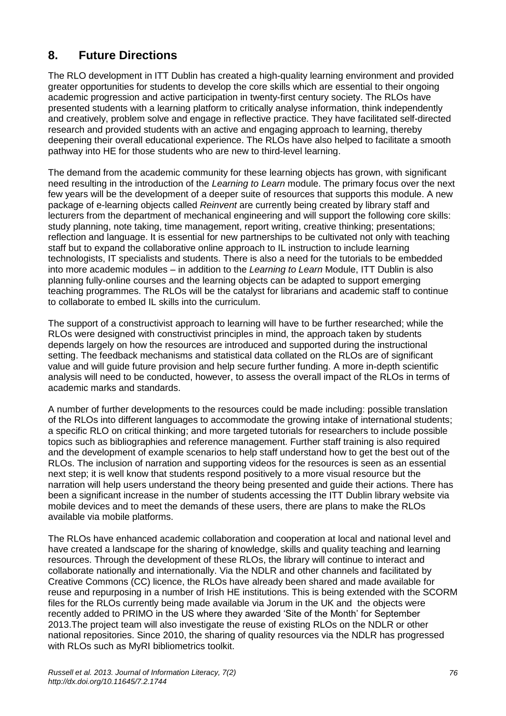# **8. Future Directions**

The RLO development in ITT Dublin has created a high-quality learning environment and provided greater opportunities for students to develop the core skills which are essential to their ongoing academic progression and active participation in twenty-first century society. The RLOs have presented students with a learning platform to critically analyse information, think independently and creatively, problem solve and engage in reflective practice. They have facilitated self-directed research and provided students with an active and engaging approach to learning, thereby deepening their overall educational experience. The RLOs have also helped to facilitate a smooth pathway into HE for those students who are new to third-level learning.

The demand from the academic community for these learning objects has grown, with significant need resulting in the introduction of the *Learning to Learn* module. The primary focus over the next few years will be the development of a deeper suite of resources that supports this module. A new package of e-learning objects called *Reinvent* are currently being created by library staff and lecturers from the department of mechanical engineering and will support the following core skills: study planning, note taking, time management, report writing, creative thinking; presentations; reflection and language. It is essential for new partnerships to be cultivated not only with teaching staff but to expand the collaborative online approach to IL instruction to include learning technologists, IT specialists and students. There is also a need for the tutorials to be embedded into more academic modules – in addition to the *Learning to Learn* Module, ITT Dublin is also planning fully-online courses and the learning objects can be adapted to support emerging teaching programmes. The RLOs will be the catalyst for librarians and academic staff to continue to collaborate to embed IL skills into the curriculum.

The support of a constructivist approach to learning will have to be further researched; while the RLOs were designed with constructivist principles in mind, the approach taken by students depends largely on how the resources are introduced and supported during the instructional setting. The feedback mechanisms and statistical data collated on the RLOs are of significant value and will guide future provision and help secure further funding. A more in-depth scientific analysis will need to be conducted, however, to assess the overall impact of the RLOs in terms of academic marks and standards.

A number of further developments to the resources could be made including: possible translation of the RLOs into different languages to accommodate the growing intake of international students; a specific RLO on critical thinking; and more targeted tutorials for researchers to include possible topics such as bibliographies and reference management. Further staff training is also required and the development of example scenarios to help staff understand how to get the best out of the RLOs. The inclusion of narration and supporting videos for the resources is seen as an essential next step; it is well know that students respond positively to a more visual resource but the narration will help users understand the theory being presented and guide their actions. There has been a significant increase in the number of students accessing the ITT Dublin library website via mobile devices and to meet the demands of these users, there are plans to make the RLOs available via mobile platforms.

The RLOs have enhanced academic collaboration and cooperation at local and national level and have created a landscape for the sharing of knowledge, skills and quality teaching and learning resources. Through the development of these RLOs, the library will continue to interact and collaborate nationally and internationally. Via the NDLR and other channels and facilitated by Creative Commons (CC) licence, the RLOs have already been shared and made available for reuse and repurposing in a number of Irish HE institutions. This is being extended with the SCORM files for the RLOs currently being made available via Jorum in the UK and the objects were recently added to PRIMO in the US where they awarded 'Site of the Month' for September 2013.The project team will also investigate the reuse of existing RLOs on the NDLR or other national repositories. Since 2010, the sharing of quality resources via the NDLR has progressed with RLOs such as MyRI bibliometrics toolkit.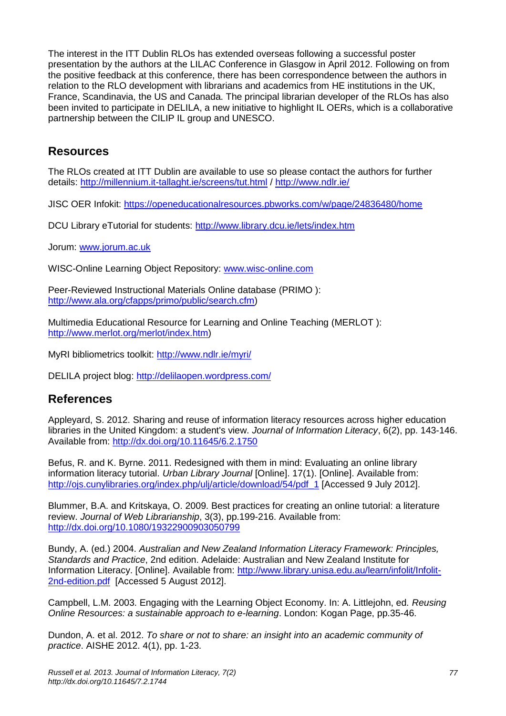The interest in the ITT Dublin RLOs has extended overseas following a successful poster presentation by the authors at the LILAC Conference in Glasgow in April 2012. Following on from the positive feedback at this conference, there has been correspondence between the authors in relation to the RLO development with librarians and academics from HE institutions in the UK, France, Scandinavia, the US and Canada. The principal librarian developer of the RLOs has also been invited to participate in DELILA, a new initiative to highlight IL OERs, which is a collaborative partnership between the CILIP IL group and UNESCO.

# **Resources**

The RLOs created at ITT Dublin are available to use so please contact the authors for further details:<http://millennium.it-tallaght.ie/screens/tut.html> /<http://www.ndlr.ie/>

JISC OER Infokit:<https://openeducationalresources.pbworks.com/w/page/24836480/home>

DCU Library eTutorial for students:<http://www.library.dcu.ie/lets/index.htm>

Jorum: [www.jorum.ac.uk](http://www.jorum.ac.uk/)

WISC-Online Learning Object Repository: [www.wisc-online.com](http://www.wisc-online.com/)

Peer-Reviewed Instructional Materials Online database (PRIMO ): [http://www.ala.org/cfapps/primo/public/search.cfm\)](http://www.ala.org/cfapps/primo/public/search.cfm)

Multimedia Educational Resource for Learning and Online Teaching (MERLOT ): [http://www.merlot.org/merlot/index.htm\)](http://www.merlot.org/merlot/index.htm)

MyRI bibliometrics toolkit:<http://www.ndlr.ie/myri/>

DELILA project blog:<http://delilaopen.wordpress.com/>

# **References**

Appleyard, S. 2012. Sharing and reuse of information literacy resources across higher education libraries in the United Kingdom: a student's view. *Journal of Information Literacy*, 6(2), pp. 143-146. Available from:<http://dx.doi.org/10.11645/6.2.1750>

Befus, R. and K. Byrne. 2011. Redesigned with them in mind: Evaluating an online library information literacy tutorial. *Urban Library Journal* [Online]. 17(1). [Online]. Available from: [http://ojs.cunylibraries.org/index.php/ulj/article/download/54/pdf\\_1](http://ojs.cunylibraries.org/index.php/ulj/article/download/54/pdf_1) [Accessed 9 July 2012].

Blummer, B.A. and Kritskaya, O. 2009. Best practices for creating an online tutorial: a literature review. *Journal of Web Librarianship*, 3(3), pp.199-216. Available from: <http://dx.doi.org/10.1080/19322900903050799>

Bundy, A. (ed.) 2004. *Australian and New Zealand Information Literacy Framework: Principles, Standards and Practice*, 2nd edition. Adelaide: Australian and New Zealand Institute for Information Literacy. [Online]. Available from: [http://www.library.unisa.edu.au/learn/infolit/Infolit-](http://www.library.unisa.edu.au/learn/infolit/Infolit-2nd-edition.pdf)[2nd-edition.pdf](http://www.library.unisa.edu.au/learn/infolit/Infolit-2nd-edition.pdf) [Accessed 5 August 2012].

Campbell, L.M. 2003. Engaging with the Learning Object Economy. In: A. Littlejohn, ed. *Reusing Online Resources: a sustainable approach to e-learning*. London: Kogan Page, pp.35-46.

Dundon, A. et al. 2012. *To share or not to share: an insight into an academic community of practice*. AISHE 2012. 4(1), pp. 1-23.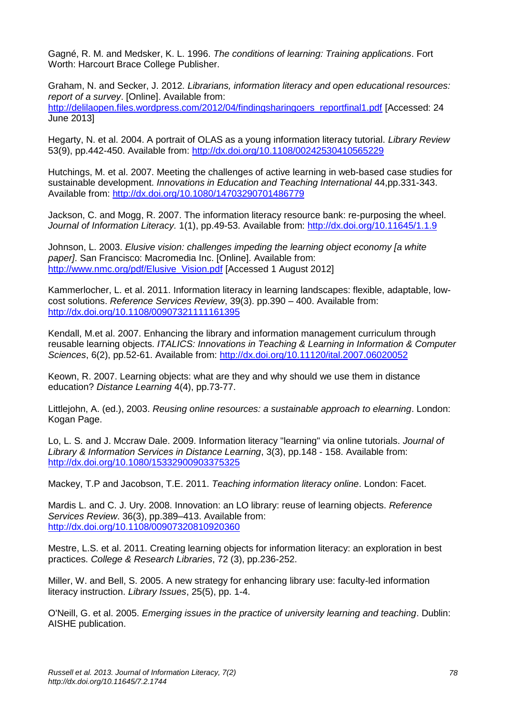Gagné, R. M. and Medsker, K. L. 1996. *The conditions of learning: Training applications*. Fort Worth: Harcourt Brace College Publisher.

Graham, N. and Secker, J. 2012. *Librarians, information literacy and open educational resources: report of a survey*. [Online]. Available from: [http://delilaopen.files.wordpress.com/2012/04/findingsharingoers\\_reportfinal1.pdf](http://delilaopen.files.wordpress.com/2012/04/findingsharingoers_reportfinal1.pdf) [Accessed: 24 June 2013]

Hegarty, N. et al. 2004. A portrait of OLAS as a young information literacy tutorial. *Library Review* 53(9), pp.442-450. Available from:<http://dx.doi.org/10.1108/00242530410565229>

Hutchings, M. et al. 2007. Meeting the challenges of active learning in web-based case studies for sustainable development. *Innovations in Education and Teaching International* 44,pp.331-343. Available from:<http://dx.doi.org/10.1080/14703290701486779>

Jackson, C. and Mogg, R. 2007. The information literacy resource bank: re-purposing the wheel. *Journal of Information Literacy.* 1(1), pp.49-53. Available from:<http://dx.doi.org/10.11645/1.1.9>

Johnson, L. 2003. *Elusive vision: challenges impeding the learning object economy [a white paper]*. San Francisco: Macromedia Inc. [Online]. Available from: [http://www.nmc.org/pdf/Elusive\\_Vision.pdf](http://www.nmc.org/pdf/Elusive_Vision.pdf) [Accessed 1 August 2012]

Kammerlocher, L. et al. 2011. Information literacy in learning landscapes: flexible, adaptable, lowcost solutions. *Reference Services Review*, 39(3). pp.390 – 400. Available from: <http://dx.doi.org/10.1108/00907321111161395>

Kendall, M.et al. 2007. Enhancing the library and information management curriculum through reusable learning objects. *ITALICS: Innovations in Teaching & Learning in Information & Computer Sciences*, 6(2), pp.52-61. Available from:<http://dx.doi.org/10.11120/ital.2007.06020052>

Keown, R. 2007. Learning objects: what are they and why should we use them in distance education? *Distance Learning* 4(4), pp.73-77.

Littlejohn, A. (ed.), 2003. *Reusing online resources: a sustainable approach to elearning*. London: Kogan Page.

Lo, L. S. and J. Mccraw Dale. 2009. Information literacy "learning" via online tutorials. *Journal of Library & Information Services in Distance Learning*, 3(3), pp.148 - 158. Available from: <http://dx.doi.org/10.1080/15332900903375325>

Mackey, T.P and Jacobson, T.E. 2011. *Teaching information literacy online*. London: Facet.

Mardis L. and C. J. Ury. 2008. Innovation: an LO library: reuse of learning objects. *Reference Services Review*. 36(3), pp.389–413. Available from: <http://dx.doi.org/10.1108/00907320810920360>

Mestre, L.S. et al. 2011. Creating learning objects for information literacy: an exploration in best practices. *College & Research Libraries*, 72 (3), pp.236-252.

Miller, W. and Bell, S. 2005. A new strategy for enhancing library use: faculty-led information literacy instruction. *Library Issues*, 25(5), pp. 1-4.

O'Neill, G. et al. 2005. *Emerging issues in the practice of university learning and teaching*. Dublin: AISHE publication.